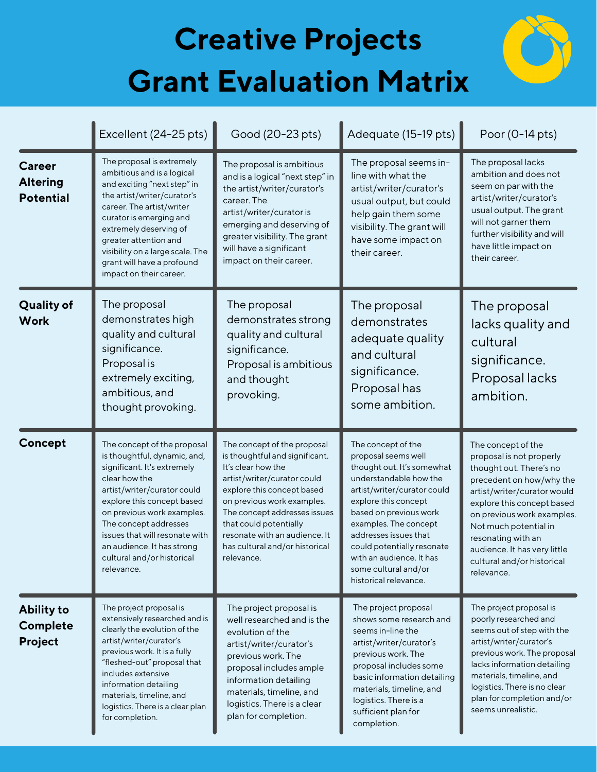## **Creative Projects Grant Evaluation Matrix**



|                                                      | Excellent (24-25 pts)                                                                                                                                                                                                                                                                                                                       | Good (20-23 pts)                                                                                                                                                                                                                                                                                                          | Adequate (15-19 pts)                                                                                                                                                                                                                                                                                                                            | Poor (0-14 pts)                                                                                                                                                                                                                                                                                                             |
|------------------------------------------------------|---------------------------------------------------------------------------------------------------------------------------------------------------------------------------------------------------------------------------------------------------------------------------------------------------------------------------------------------|---------------------------------------------------------------------------------------------------------------------------------------------------------------------------------------------------------------------------------------------------------------------------------------------------------------------------|-------------------------------------------------------------------------------------------------------------------------------------------------------------------------------------------------------------------------------------------------------------------------------------------------------------------------------------------------|-----------------------------------------------------------------------------------------------------------------------------------------------------------------------------------------------------------------------------------------------------------------------------------------------------------------------------|
| <b>Career</b><br><b>Altering</b><br><b>Potential</b> | The proposal is extremely<br>ambitious and is a logical<br>and exciting "next step" in<br>the artist/writer/curator's<br>career. The artist/writer<br>curator is emerging and<br>extremely deserving of<br>greater attention and<br>visibility on a large scale. The<br>grant will have a profound<br>impact on their career.               | The proposal is ambitious<br>and is a logical "next step" in<br>the artist/writer/curator's<br>career. The<br>artist/writer/curator is<br>emerging and deserving of<br>greater visibility. The grant<br>will have a significant<br>impact on their career.                                                                | The proposal seems in-<br>line with what the<br>artist/writer/curator's<br>usual output, but could<br>help gain them some<br>visibility. The grant will<br>have some impact on<br>their career.                                                                                                                                                 | The proposal lacks<br>ambition and does not<br>seem on par with the<br>artist/writer/curator's<br>usual output. The grant<br>will not garner them<br>further visibility and will<br>have little impact on<br>their career.                                                                                                  |
| <b>Quality of</b><br><b>Work</b>                     | The proposal<br>demonstrates high<br>quality and cultural<br>significance.<br>Proposal is<br>extremely exciting,<br>ambitious, and<br>thought provoking.                                                                                                                                                                                    | The proposal<br>demonstrates strong<br>quality and cultural<br>significance.<br>Proposal is ambitious<br>and thought<br>provoking.                                                                                                                                                                                        | The proposal<br>demonstrates<br>adequate quality<br>and cultural<br>significance.<br>Proposal has<br>some ambition.                                                                                                                                                                                                                             | The proposal<br>lacks quality and<br>cultural<br>significance.<br>Proposal lacks<br>ambition.                                                                                                                                                                                                                               |
| Concept                                              | The concept of the proposal<br>is thoughtful, dynamic, and,<br>significant. It's extremely<br>clear how the<br>artist/writer/curator could<br>explore this concept based<br>on previous work examples.<br>The concept addresses<br>issues that will resonate with<br>an audience. It has strong<br>cultural and/or historical<br>relevance. | The concept of the proposal<br>is thoughtful and significant.<br>It's clear how the<br>artist/writer/curator could<br>explore this concept based<br>on previous work examples.<br>The concept addresses issues<br>that could potentially<br>resonate with an audience. It<br>has cultural and/or historical<br>relevance. | The concept of the<br>proposal seems well<br>thought out. It's somewhat<br>understandable how the<br>artist/writer/curator could<br>explore this concept<br>based on previous work<br>examples. The concept<br>addresses issues that<br>could potentially resonate<br>with an audience. It has<br>some cultural and/or<br>historical relevance. | The concept of the<br>proposal is not properly<br>thought out. There's no<br>precedent on how/why the<br>artist/writer/curator would<br>explore this concept based<br>on previous work examples.<br>Not much potential in<br>resonating with an<br>audience. It has very little<br>cultural and/or historical<br>relevance. |
| <b>Ability to</b><br>Complete<br>Project             | The project proposal is<br>extensively researched and is<br>clearly the evolution of the<br>artist/writer/curator's<br>previous work. It is a fully<br>"fleshed-out" proposal that<br>includes extensive<br>information detailing<br>materials, timeline, and<br>logistics. There is a clear plan<br>for completion.                        | The project proposal is<br>well researched and is the<br>evolution of the<br>artist/writer/curator's<br>previous work. The<br>proposal includes ample<br>information detailing<br>materials, timeline, and<br>logistics. There is a clear<br>plan for completion.                                                         | The project proposal<br>shows some research and<br>seems in-line the<br>artist/writer/curator's<br>previous work. The<br>proposal includes some<br>basic information detailing<br>materials, timeline, and<br>logistics. There is a<br>sufficient plan for<br>completion.                                                                       | The project proposal is<br>poorly researched and<br>seems out of step with the<br>artist/writer/curator's<br>previous work. The proposal<br>lacks information detailing<br>materials, timeline, and<br>logistics. There is no clear<br>plan for completion and/or<br>seems unrealistic.                                     |